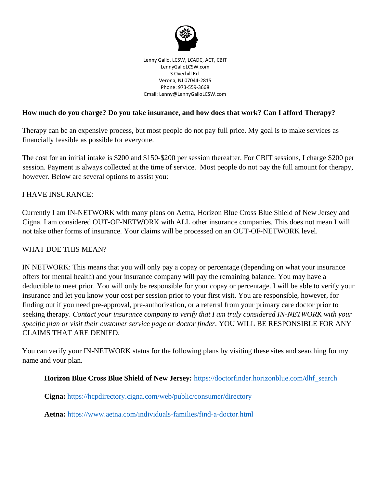

Lenny Gallo, LCSW, LCADC, ACT, CBIT LennyGalloLCSW.com 3 Overhill Rd. Verona, NJ 07044-2815 Phone: 973-559-3668 Email: Lenny@LennyGalloLCSW.com

### **How much do you charge? Do you take insurance, and how does that work? Can I afford Therapy?**

Therapy can be an expensive process, but most people do not pay full price. My goal is to make services as financially feasible as possible for everyone.

The cost for an initial intake is \$200 and \$150-\$200 per session thereafter. For CBIT sessions, I charge \$200 per session. Payment is always collected at the time of service. Most people do not pay the full amount for therapy, however. Below are several options to assist you:

### I HAVE INSURANCE:

Currently I am IN-NETWORK with many plans on Aetna, Horizon Blue Cross Blue Shield of New Jersey and Cigna. I am considered OUT-OF-NETWORK with ALL other insurance companies. This does not mean I will not take other forms of insurance. Your claims will be processed on an OUT-OF-NETWORK level.

### WHAT DOE THIS MEAN?

IN NETWORK: This means that you will only pay a copay or percentage (depending on what your insurance offers for mental health) and your insurance company will pay the remaining balance. You may have a deductible to meet prior. You will only be responsible for your copay or percentage. I will be able to verify your insurance and let you know your cost per session prior to your first visit. You are responsible, however, for finding out if you need pre-approval, pre-authorization, or a referral from your primary care doctor prior to seeking therapy. *Contact your insurance company to verify that I am truly considered IN-NETWORK with your specific plan or visit their customer service page or doctor finder.* YOU WILL BE RESPONSIBLE FOR ANY CLAIMS THAT ARE DENIED.

You can verify your IN-NETWORK status for the following plans by visiting these sites and searching for my name and your plan.

**Horizon Blue Cross Blue Shield of New Jersey:** [https://doctorfinder.horizonblue.com/dhf\\_search](https://doctorfinder.horizonblue.com/dhf_search)

**Cigna:** <https://hcpdirectory.cigna.com/web/public/consumer/directory>

**Aetna:** <https://www.aetna.com/individuals-families/find-a-doctor.html>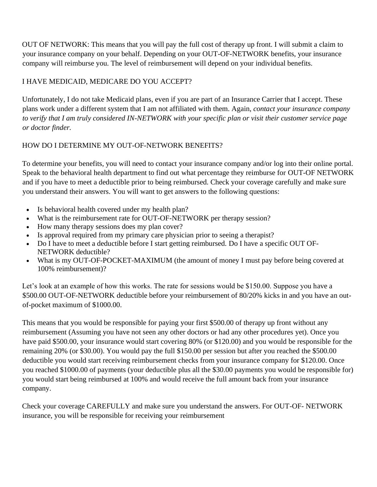OUT OF NETWORK: This means that you will pay the full cost of therapy up front. I will submit a claim to your insurance company on your behalf. Depending on your OUT-OF-NETWORK benefits, your insurance company will reimburse you. The level of reimbursement will depend on your individual benefits.

# I HAVE MEDICAID, MEDICARE DO YOU ACCEPT?

Unfortunately, I do not take Medicaid plans, even if you are part of an Insurance Carrier that I accept. These plans work under a different system that I am not affiliated with them. Again, *contact your insurance company to verify that I am truly considered IN-NETWORK with your specific plan or visit their customer service page or doctor finder.*

## HOW DO I DETERMINE MY OUT-OF-NETWORK BENEFITS?

To determine your benefits, you will need to contact your insurance company and/or log into their online portal. Speak to the behavioral health department to find out what percentage they reimburse for OUT-OF NETWORK and if you have to meet a deductible prior to being reimbursed. Check your coverage carefully and make sure you understand their answers. You will want to get answers to the following questions:

- Is behavioral health covered under my health plan?
- What is the reimbursement rate for OUT-OF-NETWORK per therapy session?
- How many therapy sessions does my plan cover?
- Is approval required from my primary care physician prior to seeing a therapist?
- Do I have to meet a deductible before I start getting reimbursed. Do I have a specific OUT OF-NETWORK deductible?
- What is my OUT-OF-POCKET-MAXIMUM (the amount of money I must pay before being covered at 100% reimbursement)?

Let's look at an example of how this works. The rate for sessions would be \$150.00. Suppose you have a \$500.00 OUT-OF-NETWORK deductible before your reimbursement of 80/20% kicks in and you have an outof-pocket maximum of \$1000.00.

This means that you would be responsible for paying your first \$500.00 of therapy up front without any reimbursement (Assuming you have not seen any other doctors or had any other procedures yet). Once you have paid \$500.00, your insurance would start covering 80% (or \$120.00) and you would be responsible for the remaining 20% (or \$30.00). You would pay the full \$150.00 per session but after you reached the \$500.00 deductible you would start receiving reimbursement checks from your insurance company for \$120.00. Once you reached \$1000.00 of payments (your deductible plus all the \$30.00 payments you would be responsible for) you would start being reimbursed at 100% and would receive the full amount back from your insurance company.

Check your coverage CAREFULLY and make sure you understand the answers. For OUT-OF- NETWORK insurance, you will be responsible for receiving your reimbursement